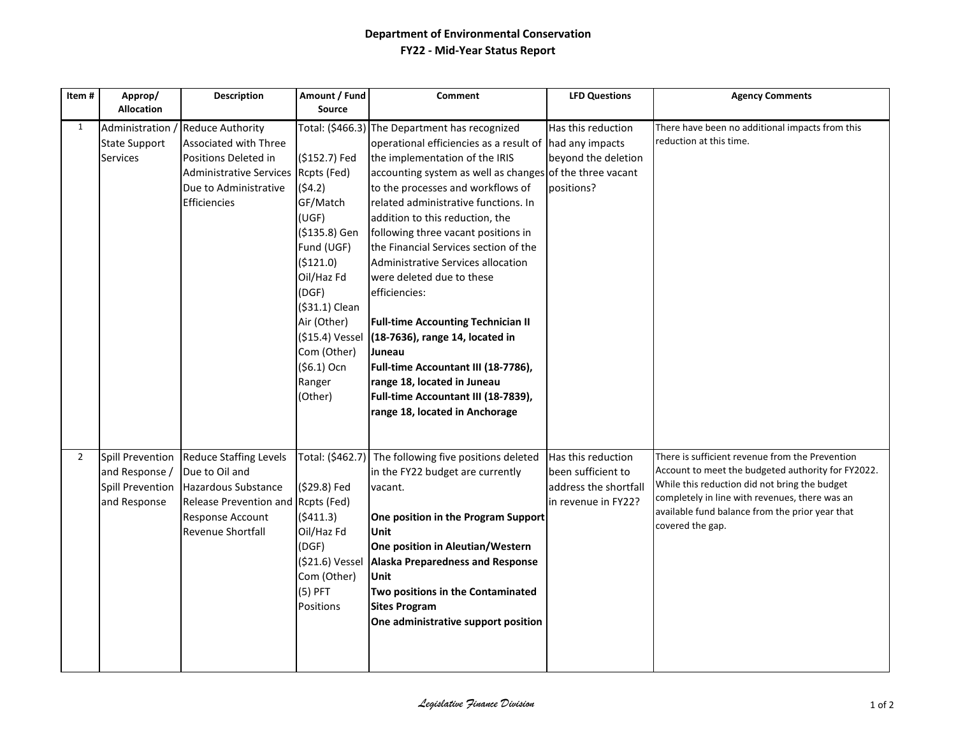## **Department of Environmental Conservation FY22 - Mid-Year Status Report**

| Item#          | Approp/<br><b>Allocation</b>                                                         | <b>Description</b>                                                                                                                                    | Amount / Fund<br><b>Source</b>                                                                                                                                                                                                         | <b>Comment</b>                                                                                                                                                                                                                                                                                                                                                                                                                                                                                                                                                                                                                                                                                                                       | <b>LFD Questions</b>                                                                     | <b>Agency Comments</b>                                                                                                                                                                                                                                                          |
|----------------|--------------------------------------------------------------------------------------|-------------------------------------------------------------------------------------------------------------------------------------------------------|----------------------------------------------------------------------------------------------------------------------------------------------------------------------------------------------------------------------------------------|--------------------------------------------------------------------------------------------------------------------------------------------------------------------------------------------------------------------------------------------------------------------------------------------------------------------------------------------------------------------------------------------------------------------------------------------------------------------------------------------------------------------------------------------------------------------------------------------------------------------------------------------------------------------------------------------------------------------------------------|------------------------------------------------------------------------------------------|---------------------------------------------------------------------------------------------------------------------------------------------------------------------------------------------------------------------------------------------------------------------------------|
| $\mathbf{1}$   | Administration<br><b>State Support</b><br><b>Services</b>                            | <b>Reduce Authority</b><br>Associated with Three<br>Positions Deleted in<br><b>Administrative Services</b><br>Due to Administrative<br>Efficiencies   | (\$152.7) Fed<br>Rcpts (Fed)<br>(54.2)<br>GF/Match<br>(UGF)<br>(\$135.8) Gen<br>Fund (UGF)<br>(\$121.0)<br>Oil/Haz Fd<br>(DGF)<br>(\$31.1) Clean<br>Air (Other)<br>(\$15.4) Vessel<br>Com (Other)<br>$(56.1)$ Ocn<br>Ranger<br>(Other) | Total: (\$466.3) The Department has recognized<br>operational efficiencies as a result of had any impacts<br>the implementation of the IRIS<br>accounting system as well as changes of the three vacant<br>to the processes and workflows of<br>related administrative functions. In<br>addition to this reduction, the<br>following three vacant positions in<br>the Financial Services section of the<br>Administrative Services allocation<br>were deleted due to these<br>efficiencies:<br><b>Full-time Accounting Technician II</b><br>(18-7636), range 14, located in<br>Juneau<br>Full-time Accountant III (18-7786),<br>range 18, located in Juneau<br>Full-time Accountant III (18-7839),<br>range 18, located in Anchorage | Has this reduction<br>beyond the deletion<br>positions?                                  | There have been no additional impacts from this<br>reduction at this time.                                                                                                                                                                                                      |
| $\overline{2}$ | <b>Spill Prevention</b><br>and Response /<br><b>Spill Prevention</b><br>and Response | <b>Reduce Staffing Levels</b><br>Due to Oil and<br>Hazardous Substance<br>Release Prevention and Rcpts (Fed)<br>Response Account<br>Revenue Shortfall | Total: (\$462.7)<br>(\$29.8) Fed<br>(5411.3)<br>Oil/Haz Fd<br>(DGF)<br>(\$21.6) Vessel<br>Com (Other)<br>$(5)$ PFT<br>Positions                                                                                                        | The following five positions deleted<br>in the FY22 budget are currently<br>vacant.<br>One position in the Program Support<br>Unit<br>One position in Aleutian/Western<br><b>Alaska Preparedness and Response</b><br><b>Unit</b><br>Two positions in the Contaminated<br><b>Sites Program</b><br>One administrative support position                                                                                                                                                                                                                                                                                                                                                                                                 | Has this reduction<br>been sufficient to<br>address the shortfall<br>in revenue in FY22? | There is sufficient revenue from the Prevention<br>Account to meet the budgeted authority for FY2022.<br>While this reduction did not bring the budget<br>completely in line with revenues, there was an<br>available fund balance from the prior year that<br>covered the gap. |